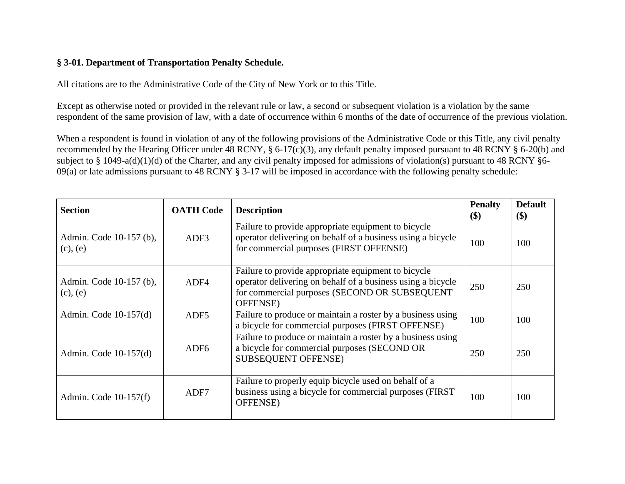## **§ 3-01. Department of Transportation Penalty Schedule.**

All citations are to the Administrative Code of the City of New York or to this Title.

Except as otherwise noted or provided in the relevant rule or law, a second or subsequent violation is a violation by the same respondent of the same provision of law, with a date of occurrence within 6 months of the date of occurrence of the previous violation.

When a respondent is found in violation of any of the following provisions of the Administrative Code or this Title, any civil penalty recommended by the Hearing Officer under 48 RCNY, § 6-17(c)(3), any default penalty imposed pursuant to 48 RCNY § 6-20(b) and subject to § 1049-a(d)(1)(d) of the Charter, and any civil penalty imposed for admissions of violation(s) pursuant to 48 RCNY §6- 09(a) or late admissions pursuant to 48 RCNY § 3-17 will be imposed in accordance with the following penalty schedule:

| <b>Section</b>                           | <b>OATH Code</b> | <b>Description</b>                                                                                                                                                              | <b>Penalty</b><br>\$) | <b>Default</b><br>\$) |
|------------------------------------------|------------------|---------------------------------------------------------------------------------------------------------------------------------------------------------------------------------|-----------------------|-----------------------|
| Admin. Code 10-157 (b),<br>$(c)$ , $(e)$ | ADF3             | Failure to provide appropriate equipment to bicycle<br>operator delivering on behalf of a business using a bicycle<br>for commercial purposes (FIRST OFFENSE)                   | 100                   | 100                   |
| Admin. Code 10-157 (b),<br>$(c)$ , $(e)$ | ADF4             | Failure to provide appropriate equipment to bicycle<br>operator delivering on behalf of a business using a bicycle<br>for commercial purposes (SECOND OR SUBSEQUENT<br>OFFENSE) | 250                   | 250                   |
| Admin. Code $10-157(d)$                  | ADF <sub>5</sub> | Failure to produce or maintain a roster by a business using<br>a bicycle for commercial purposes (FIRST OFFENSE)                                                                | 100                   | 100                   |
| Admin. Code 10-157(d)                    | ADF <sub>6</sub> | Failure to produce or maintain a roster by a business using<br>a bicycle for commercial purposes (SECOND OR<br><b>SUBSEQUENT OFFENSE)</b>                                       | 250                   | 250                   |
| Admin. Code $10-157(f)$                  | ADF7             | Failure to properly equip bicycle used on behalf of a<br>business using a bicycle for commercial purposes (FIRST)<br>OFFENSE)                                                   | 100                   | 100                   |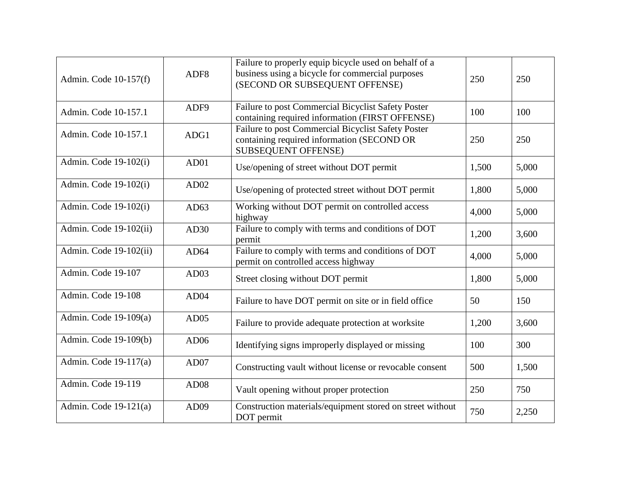| Admin. Code $10-157(f)$ | ADF <sub>8</sub> | Failure to properly equip bicycle used on behalf of a<br>business using a bicycle for commercial purposes<br>(SECOND OR SUBSEQUENT OFFENSE) | 250   | 250   |
|-------------------------|------------------|---------------------------------------------------------------------------------------------------------------------------------------------|-------|-------|
| Admin. Code 10-157.1    | ADF9             | Failure to post Commercial Bicyclist Safety Poster<br>containing required information (FIRST OFFENSE)                                       | 100   | 100   |
| Admin. Code 10-157.1    | ADG1             | Failure to post Commercial Bicyclist Safety Poster<br>containing required information (SECOND OR<br><b>SUBSEQUENT OFFENSE)</b>              | 250   | 250   |
| Admin. Code 19-102(i)   | AD01             | Use/opening of street without DOT permit                                                                                                    | 1,500 | 5,000 |
| Admin. Code 19-102(i)   | AD02             | Use/opening of protected street without DOT permit                                                                                          | 1,800 | 5,000 |
| Admin. Code 19-102(i)   | AD63             | Working without DOT permit on controlled access<br>highway                                                                                  | 4,000 | 5,000 |
| Admin. Code 19-102(ii)  | AD30             | Failure to comply with terms and conditions of DOT<br>permit                                                                                | 1,200 | 3,600 |
| Admin. Code 19-102(ii)  | AD64             | Failure to comply with terms and conditions of DOT<br>permit on controlled access highway                                                   | 4,000 | 5,000 |
| Admin. Code 19-107      | AD03             | Street closing without DOT permit                                                                                                           | 1,800 | 5,000 |
| Admin. Code 19-108      | AD04             | Failure to have DOT permit on site or in field office                                                                                       | 50    | 150   |
| Admin. Code 19-109(a)   | AD05             | Failure to provide adequate protection at worksite                                                                                          | 1,200 | 3,600 |
| Admin. Code 19-109(b)   | AD06             | Identifying signs improperly displayed or missing                                                                                           | 100   | 300   |
| Admin. Code 19-117(a)   | AD07             | Constructing vault without license or revocable consent                                                                                     | 500   | 1,500 |
| Admin. Code 19-119      | <b>AD08</b>      | Vault opening without proper protection                                                                                                     | 250   | 750   |
| Admin. Code $19-121(a)$ | AD09             | Construction materials/equipment stored on street without<br>DOT permit                                                                     | 750   | 2,250 |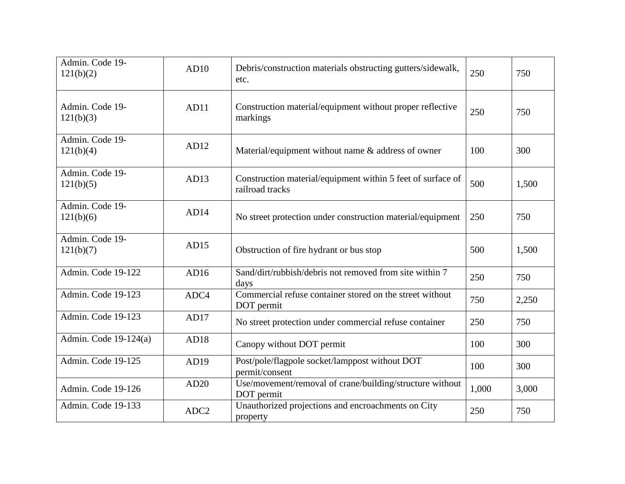| Admin. Code 19-<br>121(b)(2) | AD10             | Debris/construction materials obstructing gutters/sidewalk,<br>etc.            | 250   | 750   |
|------------------------------|------------------|--------------------------------------------------------------------------------|-------|-------|
| Admin. Code 19-<br>121(b)(3) | AD11             | Construction material/equipment without proper reflective<br>markings          | 250   | 750   |
| Admin. Code 19-<br>121(b)(4) | AD12             | Material/equipment without name $\&$ address of owner                          | 100   | 300   |
| Admin. Code 19-<br>121(b)(5) | AD13             | Construction material/equipment within 5 feet of surface of<br>railroad tracks | 500   | 1,500 |
| Admin. Code 19-<br>121(b)(6) | AD14             | No street protection under construction material/equipment                     | 250   | 750   |
| Admin. Code 19-<br>121(b)(7) | AD15             | Obstruction of fire hydrant or bus stop                                        | 500   | 1,500 |
| Admin. Code 19-122           | AD16             | Sand/dirt/rubbish/debris not removed from site within 7<br>days                | 250   | 750   |
| Admin. Code 19-123           | ADC4             | Commercial refuse container stored on the street without<br>DOT permit         | 750   | 2,250 |
| Admin. Code 19-123           | AD17             | No street protection under commercial refuse container                         | 250   | 750   |
| Admin. Code $19-124(a)$      | AD18             | Canopy without DOT permit                                                      | 100   | 300   |
| Admin. Code 19-125           | AD19             | Post/pole/flagpole socket/lamppost without DOT<br>permit/consent               | 100   | 300   |
| Admin. Code 19-126           | AD20             | Use/movement/removal of crane/building/structure without<br>DOT permit         | 1,000 | 3,000 |
| Admin. Code 19-133           | ADC <sub>2</sub> | Unauthorized projections and encroachments on City<br>property                 | 250   | 750   |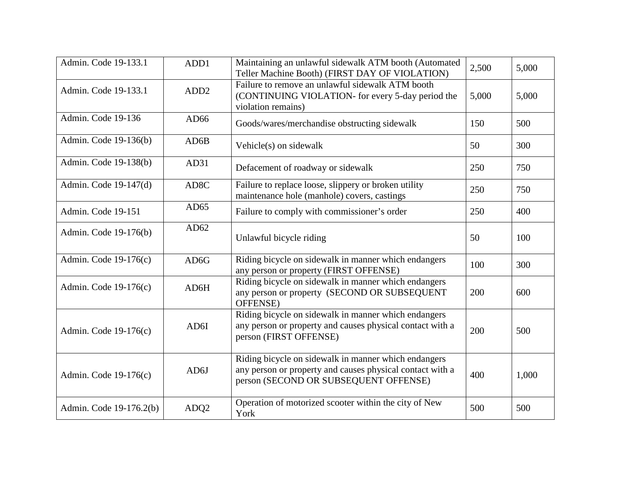| Admin. Code 19-133.1    | ADD1              | Maintaining an unlawful sidewalk ATM booth (Automated<br>Teller Machine Booth) (FIRST DAY OF VIOLATION)                                                    | 2,500 | 5,000 |
|-------------------------|-------------------|------------------------------------------------------------------------------------------------------------------------------------------------------------|-------|-------|
| Admin. Code 19-133.1    | ADD <sub>2</sub>  | Failure to remove an unlawful sidewalk ATM booth<br>(CONTINUING VIOLATION- for every 5-day period the<br>violation remains)                                | 5,000 | 5,000 |
| Admin. Code 19-136      | AD66              | Goods/wares/merchandise obstructing sidewalk                                                                                                               | 150   | 500   |
| Admin. Code 19-136(b)   | AD6B              | Vehicle(s) on sidewalk                                                                                                                                     | 50    | 300   |
| Admin. Code 19-138(b)   | AD31              | Defacement of roadway or sidewalk                                                                                                                          | 250   | 750   |
| Admin. Code 19-147(d)   | AD <sub>8</sub> C | Failure to replace loose, slippery or broken utility<br>maintenance hole (manhole) covers, castings                                                        | 250   | 750   |
| Admin. Code 19-151      | AD65              | Failure to comply with commissioner's order                                                                                                                | 250   | 400   |
| Admin. Code 19-176(b)   | AD62              | Unlawful bicycle riding                                                                                                                                    | 50    | 100   |
| Admin. Code 19-176(c)   | AD <sub>6</sub> G | Riding bicycle on sidewalk in manner which endangers<br>any person or property (FIRST OFFENSE)                                                             | 100   | 300   |
| Admin. Code 19-176(c)   | AD6H              | Riding bicycle on sidewalk in manner which endangers<br>any person or property (SECOND OR SUBSEQUENT<br>OFFENSE)                                           | 200   | 600   |
| Admin. Code 19-176(c)   | AD6I              | Riding bicycle on sidewalk in manner which endangers<br>any person or property and causes physical contact with a<br>person (FIRST OFFENSE)                | 200   | 500   |
| Admin. Code 19-176(c)   | AD6J              | Riding bicycle on sidewalk in manner which endangers<br>any person or property and causes physical contact with a<br>person (SECOND OR SUBSEQUENT OFFENSE) | 400   | 1,000 |
| Admin. Code 19-176.2(b) | ADQ2              | Operation of motorized scooter within the city of New<br>York                                                                                              | 500   | 500   |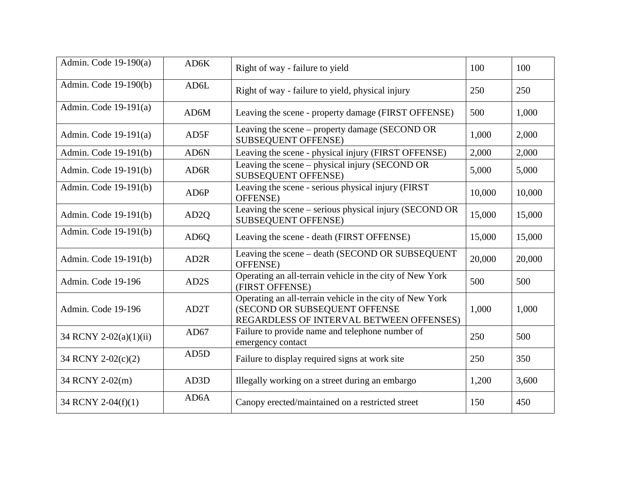| Admin. Code $19-190(a)$ | AD6K              | Right of way - failure to yield                                                                                                       | 100    | 100    |
|-------------------------|-------------------|---------------------------------------------------------------------------------------------------------------------------------------|--------|--------|
| Admin. Code 19-190(b)   | AD6L              | Right of way - failure to yield, physical injury                                                                                      | 250    | 250    |
| Admin. Code $19-191(a)$ | AD6M              | Leaving the scene - property damage (FIRST OFFENSE)                                                                                   | 500    | 1,000  |
| Admin. Code $19-191(a)$ | AD5F              | Leaving the scene – property damage (SECOND OR<br><b>SUBSEQUENT OFFENSE)</b>                                                          | 1,000  | 2,000  |
| Admin. Code 19-191(b)   | AD6N              | Leaving the scene - physical injury (FIRST OFFENSE)                                                                                   | 2,000  | 2,000  |
| Admin. Code 19-191(b)   | AD6R              | Leaving the scene – physical injury (SECOND OR<br><b>SUBSEQUENT OFFENSE)</b>                                                          | 5,000  | 5,000  |
| Admin. Code 19-191(b)   | AD6P              | Leaving the scene - serious physical injury (FIRST<br>OFFENSE)                                                                        | 10,000 | 10,000 |
| Admin. Code 19-191(b)   | AD <sub>2</sub> Q | Leaving the scene – serious physical injury (SECOND OR<br><b>SUBSEQUENT OFFENSE)</b>                                                  | 15,000 | 15,000 |
| Admin. Code 19-191(b)   | AD <sub>6</sub> Q | Leaving the scene - death (FIRST OFFENSE)                                                                                             | 15,000 | 15,000 |
| Admin. Code 19-191(b)   | AD <sub>2</sub> R | Leaving the scene – death (SECOND OR SUBSEQUENT<br>OFFENSE)                                                                           | 20,000 | 20,000 |
| Admin. Code 19-196      | AD <sub>2</sub> S | Operating an all-terrain vehicle in the city of New York<br>(FIRST OFFENSE)                                                           | 500    | 500    |
| Admin. Code 19-196      | AD2T              | Operating an all-terrain vehicle in the city of New York<br>(SECOND OR SUBSEQUENT OFFENSE<br>REGARDLESS OF INTERVAL BETWEEN OFFENSES) | 1,000  | 1,000  |
| 34 RCNY 2-02(a)(1)(ii)  | AD67              | Failure to provide name and telephone number of<br>emergency contact                                                                  | 250    | 500    |
| 34 RCNY 2-02(c)(2)      | AD5D              | Failure to display required signs at work site                                                                                        | 250    | 350    |
| 34 RCNY 2-02(m)         | AD3D              | Illegally working on a street during an embargo                                                                                       | 1,200  | 3,600  |
| 34 RCNY 2-04(f)(1)      | AD <sub>6</sub> A | Canopy erected/maintained on a restricted street                                                                                      | 150    | 450    |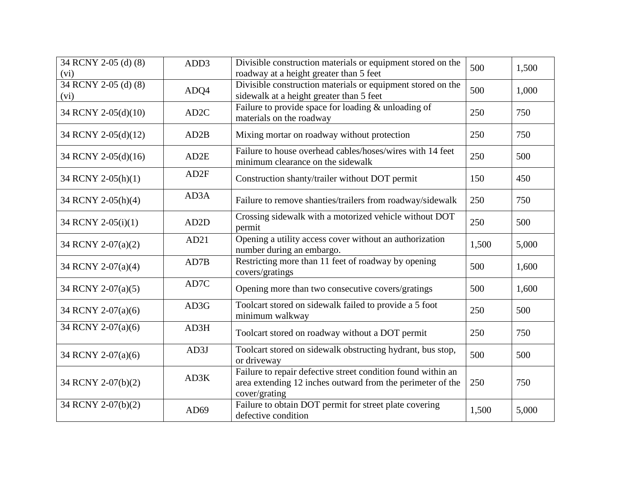| 34 RCNY 2-05 (d) (8)<br>(vi) | ADD3              | Divisible construction materials or equipment stored on the<br>roadway at a height greater than 5 feet                                      | 500   | 1,500 |
|------------------------------|-------------------|---------------------------------------------------------------------------------------------------------------------------------------------|-------|-------|
| 34 RCNY 2-05 (d) (8)<br>(vi) | ADQ4              | Divisible construction materials or equipment stored on the<br>sidewalk at a height greater than 5 feet                                     | 500   | 1,000 |
| 34 RCNY 2-05(d)(10)          | AD <sub>2</sub> C | Failure to provide space for loading & unloading of<br>materials on the roadway                                                             | 250   | 750   |
| 34 RCNY 2-05(d)(12)          | AD2B              | Mixing mortar on roadway without protection                                                                                                 | 250   | 750   |
| 34 RCNY 2-05(d)(16)          | AD <sub>2</sub> E | Failure to house overhead cables/hoses/wires with 14 feet<br>minimum clearance on the sidewalk                                              | 250   | 500   |
| 34 RCNY 2-05(h)(1)           | AD <sub>2F</sub>  | Construction shanty/trailer without DOT permit                                                                                              | 150   | 450   |
| 34 RCNY 2-05(h)(4)           | AD3A              | Failure to remove shanties/trailers from roadway/sidewalk                                                                                   | 250   | 750   |
| 34 RCNY 2-05(i)(1)           | AD <sub>2</sub> D | Crossing sidewalk with a motorized vehicle without DOT<br>permit                                                                            | 250   | 500   |
| 34 RCNY 2-07(a)(2)           | AD21              | Opening a utility access cover without an authorization<br>number during an embargo.                                                        | 1,500 | 5,000 |
| 34 RCNY 2-07(a)(4)           | AD7B              | Restricting more than 11 feet of roadway by opening<br>covers/gratings                                                                      | 500   | 1,600 |
| 34 RCNY 2-07(a)(5)           | AD7C              | Opening more than two consecutive covers/gratings                                                                                           | 500   | 1,600 |
| 34 RCNY 2-07(a)(6)           | AD3G              | Toolcart stored on sidewalk failed to provide a 5 foot<br>minimum walkway                                                                   | 250   | 500   |
| 34 RCNY 2-07(a)(6)           | AD3H              | Toolcart stored on roadway without a DOT permit                                                                                             | 250   | 750   |
| 34 RCNY 2-07(a)(6)           | AD3J              | Toolcart stored on sidewalk obstructing hydrant, bus stop,<br>or driveway                                                                   | 500   | 500   |
| 34 RCNY 2-07(b)(2)           | AD3K              | Failure to repair defective street condition found within an<br>area extending 12 inches outward from the perimeter of the<br>cover/grating | 250   | 750   |
| 34 RCNY 2-07(b)(2)           | AD <sub>69</sub>  | Failure to obtain DOT permit for street plate covering<br>defective condition                                                               | 1,500 | 5,000 |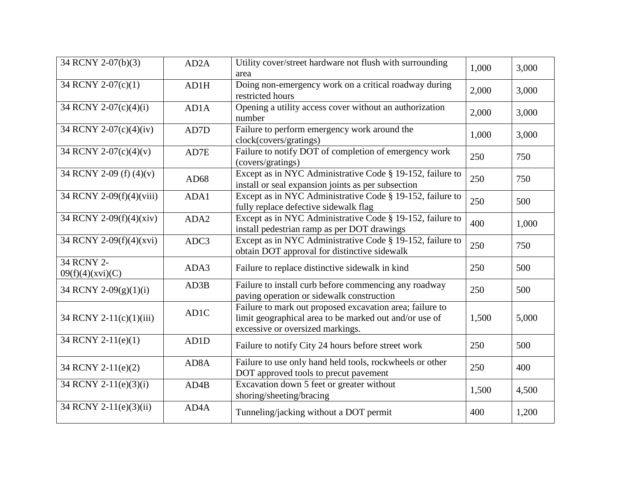| 34 RCNY 2-07(b)(3)             | AD <sub>2</sub> A | Utility cover/street hardware not flush with surrounding<br>area                                                                                       | 1,000 | 3,000 |
|--------------------------------|-------------------|--------------------------------------------------------------------------------------------------------------------------------------------------------|-------|-------|
| 34 RCNY 2-07(c)(1)             | AD1H              | Doing non-emergency work on a critical roadway during<br>restricted hours                                                                              | 2,000 | 3,000 |
| 34 RCNY 2-07(c)(4)(i)          | AD1A              | Opening a utility access cover without an authorization<br>number                                                                                      | 2,000 | 3,000 |
| 34 RCNY 2-07(c)(4)(iv)         | AD7D              | Failure to perform emergency work around the<br>clock(covers/gratings)                                                                                 | 1,000 | 3,000 |
| 34 RCNY 2-07(c)(4)(v)          | AD7E              | Failure to notify DOT of completion of emergency work<br>(covers/gratings)                                                                             | 250   | 750   |
| 34 RCNY 2-09 (f) (4)(v)        | AD68              | Except as in NYC Administrative Code § 19-152, failure to<br>install or seal expansion joints as per subsection                                        | 250   | 750   |
| 34 RCNY 2-09(f)(4)(viii)       | ADA1              | Except as in NYC Administrative Code § 19-152, failure to<br>fully replace defective sidewalk flag                                                     | 250   | 500   |
| 34 RCNY 2-09(f)(4)(xiv)        | ADA2              | Except as in NYC Administrative Code § 19-152, failure to<br>install pedestrian ramp as per DOT drawings                                               | 400   | 1,000 |
| 34 RCNY 2-09(f)(4)(xvi)        | ADC3              | Except as in NYC Administrative Code § 19-152, failure to<br>obtain DOT approval for distinctive sidewalk                                              | 250   | 750   |
| 34 RCNY 2-<br>09(f)(4)(xvi)(C) | ADA3              | Failure to replace distinctive sidewalk in kind                                                                                                        | 250   | 500   |
| 34 RCNY 2-09(g)(1)(i)          | AD3B              | Failure to install curb before commencing any roadway<br>paving operation or sidewalk construction                                                     | 250   | 500   |
| 34 RCNY 2-11(c)(1)(iii)        | AD1C              | Failure to mark out proposed excavation area; failure to<br>limit geographical area to be marked out and/or use of<br>excessive or oversized markings. | 1,500 | 5,000 |
| 34 RCNY 2-11(e)(1)             | AD1D              | Failure to notify City 24 hours before street work                                                                                                     | 250   | 500   |
| 34 RCNY 2-11(e)(2)             | AD <sub>8</sub> A | Failure to use only hand held tools, rockwheels or other<br>DOT approved tools to precut pavement                                                      | 250   | 400   |
| 34 RCNY 2-11(e)(3)(i)          | AD4B              | Excavation down 5 feet or greater without<br>shoring/sheeting/bracing                                                                                  | 1,500 | 4,500 |
| 34 RCNY 2-11(e)(3)(ii)         | AD4A              | Tunneling/jacking without a DOT permit                                                                                                                 | 400   | 1,200 |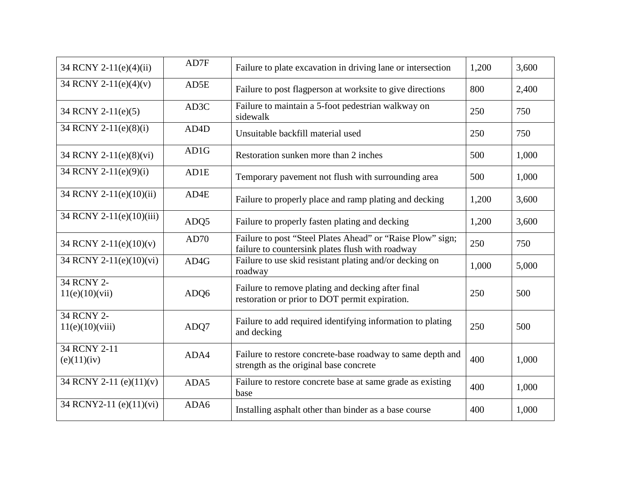| 34 RCNY 2-11(e)(4)(ii)        | AD7F              | Failure to plate excavation in driving lane or intersection                                                    | 1,200 | 3,600 |
|-------------------------------|-------------------|----------------------------------------------------------------------------------------------------------------|-------|-------|
| 34 RCNY 2-11(e)(4)(v)         | AD5E              | Failure to post flagperson at worksite to give directions                                                      | 800   | 2,400 |
| 34 RCNY 2-11(e)(5)            | AD3C              | Failure to maintain a 5-foot pedestrian walkway on<br>sidewalk                                                 | 250   | 750   |
| 34 RCNY 2-11(e)(8)(i)         | AD <sub>4</sub> D | Unsuitable backfill material used                                                                              | 250   | 750   |
| 34 RCNY 2-11(e)(8)(vi)        | AD1G              | Restoration sunken more than 2 inches                                                                          | 500   | 1,000 |
| 34 RCNY 2-11(e)(9)(i)         | AD1E              | Temporary pavement not flush with surrounding area                                                             | 500   | 1,000 |
| 34 RCNY 2-11(e)(10)(ii)       | AD4E              | Failure to properly place and ramp plating and decking                                                         | 1,200 | 3,600 |
| 34 RCNY 2-11(e)(10)(iii)      | ADQ5              | Failure to properly fasten plating and decking                                                                 | 1,200 | 3,600 |
| 34 RCNY 2-11(e)(10)(v)        | AD70              | Failure to post "Steel Plates Ahead" or "Raise Plow" sign;<br>failure to countersink plates flush with roadway | 250   | 750   |
| 34 RCNY 2-11(e)(10)(vi)       | AD4G              | Failure to use skid resistant plating and/or decking on<br>roadway                                             | 1,000 | 5,000 |
| 34 RCNY 2-<br>11(e)(10)(vii)  | ADQ6              | Failure to remove plating and decking after final<br>restoration or prior to DOT permit expiration.            | 250   | 500   |
| 34 RCNY 2-<br>11(e)(10)(viii) | ADQ7              | Failure to add required identifying information to plating<br>and decking                                      | 250   | 500   |
| 34 RCNY 2-11<br>(e)(11)(iv)   | ADA4              | Failure to restore concrete-base roadway to same depth and<br>strength as the original base concrete           | 400   | 1,000 |
| 34 RCNY 2-11 (e)(11)(v)       | ADA5              | Failure to restore concrete base at same grade as existing<br>base                                             | 400   | 1,000 |
| 34 RCNY2-11 (e)(11)(vi)       | ADA6              | Installing asphalt other than binder as a base course                                                          | 400   | 1,000 |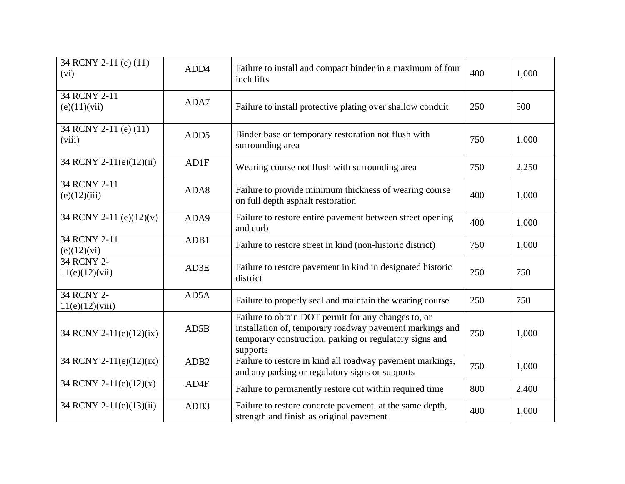| 34 RCNY 2-11 (e) (11)<br>(vi)   | ADD4             | Failure to install and compact binder in a maximum of four<br>inch lifts                                                                                                               | 400 | 1,000 |
|---------------------------------|------------------|----------------------------------------------------------------------------------------------------------------------------------------------------------------------------------------|-----|-------|
| 34 RCNY 2-11<br>(e)(11)(vii)    | ADA7             | Failure to install protective plating over shallow conduit                                                                                                                             | 250 | 500   |
| 34 RCNY 2-11 (e) (11)<br>(viii) | ADD <sub>5</sub> | Binder base or temporary restoration not flush with<br>surrounding area                                                                                                                | 750 | 1,000 |
| 34 RCNY 2-11(e)(12)(ii)         | AD1F             | Wearing course not flush with surrounding area                                                                                                                                         | 750 | 2,250 |
| 34 RCNY 2-11<br>(e)(12)(iii)    | ADA8             | Failure to provide minimum thickness of wearing course<br>on full depth asphalt restoration                                                                                            | 400 | 1,000 |
| 34 RCNY 2-11 (e)(12)(v)         | ADA9             | Failure to restore entire pavement between street opening<br>and curb                                                                                                                  | 400 | 1,000 |
| 34 RCNY 2-11<br>(e)(12)(vi)     | ADB1             | Failure to restore street in kind (non-historic district)                                                                                                                              | 750 | 1,000 |
| 34 RCNY 2-<br>11(e)(12)(vii)    | AD3E             | Failure to restore pavement in kind in designated historic<br>district                                                                                                                 | 250 | 750   |
| 34 RCNY 2-<br>11(e)(12)(viii)   | AD5A             | Failure to properly seal and maintain the wearing course                                                                                                                               | 250 | 750   |
| 34 RCNY 2-11(e)(12)(ix)         | AD5B             | Failure to obtain DOT permit for any changes to, or<br>installation of, temporary roadway pavement markings and<br>temporary construction, parking or regulatory signs and<br>supports | 750 | 1,000 |
| 34 RCNY 2-11(e)(12)(ix)         | ADB <sub>2</sub> | Failure to restore in kind all roadway pavement markings,<br>and any parking or regulatory signs or supports                                                                           | 750 | 1,000 |
| 34 RCNY 2-11(e)(12)(x)          | AD4F             | Failure to permanently restore cut within required time                                                                                                                                | 800 | 2,400 |
| 34 RCNY 2-11(e)(13)(ii)         | ADB3             | Failure to restore concrete pavement at the same depth,<br>strength and finish as original pavement                                                                                    | 400 | 1,000 |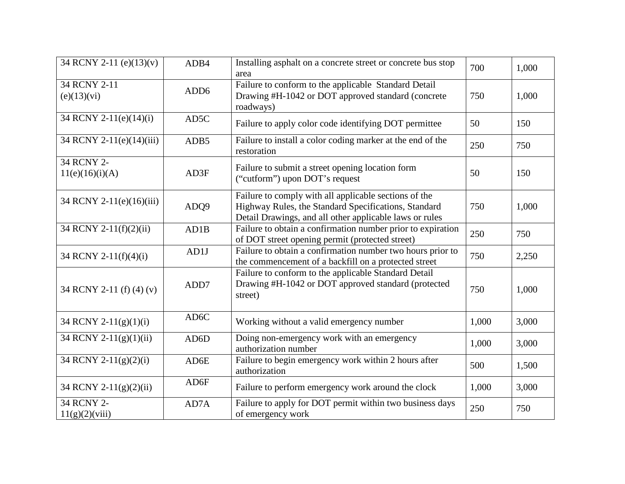| 34 RCNY 2-11 (e)(13)(v)       | ADB4              | Installing asphalt on a concrete street or concrete bus stop<br>area                                                                                                     | 700   | 1,000 |
|-------------------------------|-------------------|--------------------------------------------------------------------------------------------------------------------------------------------------------------------------|-------|-------|
| 34 RCNY 2-11<br>(e)(13)(vi)   | ADD <sub>6</sub>  | Failure to conform to the applicable Standard Detail<br>Drawing #H-1042 or DOT approved standard (concrete<br>roadways)                                                  | 750   | 1,000 |
| 34 RCNY 2-11(e)(14)(i)        | AD5C              | Failure to apply color code identifying DOT permittee                                                                                                                    | 50    | 150   |
| 34 RCNY 2-11(e)(14)(iii)      | ADB5              | Failure to install a color coding marker at the end of the<br>restoration                                                                                                | 250   | 750   |
| 34 RCNY 2-<br>11(e)(16)(i)(A) | AD3F              | Failure to submit a street opening location form<br>("cutform") upon DOT's request                                                                                       | 50    | 150   |
| 34 RCNY 2-11(e)(16)(iii)      | ADQ9              | Failure to comply with all applicable sections of the<br>Highway Rules, the Standard Specifications, Standard<br>Detail Drawings, and all other applicable laws or rules | 750   | 1,000 |
| 34 RCNY 2-11(f)(2)(ii)        | AD1B              | Failure to obtain a confirmation number prior to expiration<br>of DOT street opening permit (protected street)                                                           | 250   | 750   |
| 34 RCNY 2-11(f)(4)(i)         | AD1J              | Failure to obtain a confirmation number two hours prior to<br>the commencement of a backfill on a protected street                                                       | 750   | 2,250 |
| 34 RCNY 2-11 (f) (4) (v)      | ADD7              | Failure to conform to the applicable Standard Detail<br>Drawing #H-1042 or DOT approved standard (protected<br>street)                                                   | 750   | 1,000 |
| 34 RCNY 2-11(g)(1)(i)         | AD <sub>6</sub> C | Working without a valid emergency number                                                                                                                                 | 1,000 | 3,000 |
| 34 RCNY 2-11(g)(1)(ii)        | AD6D              | Doing non-emergency work with an emergency<br>authorization number                                                                                                       | 1,000 | 3,000 |
| 34 RCNY 2-11(g)(2)(i)         | AD6E              | Failure to begin emergency work within 2 hours after<br>authorization                                                                                                    | 500   | 1,500 |
| 34 RCNY 2-11(g)(2)(ii)        | AD6F              | Failure to perform emergency work around the clock                                                                                                                       | 1,000 | 3,000 |
| 34 RCNY 2-<br>11(g)(2)(viii)  | AD7A              | Failure to apply for DOT permit within two business days<br>of emergency work                                                                                            | 250   | 750   |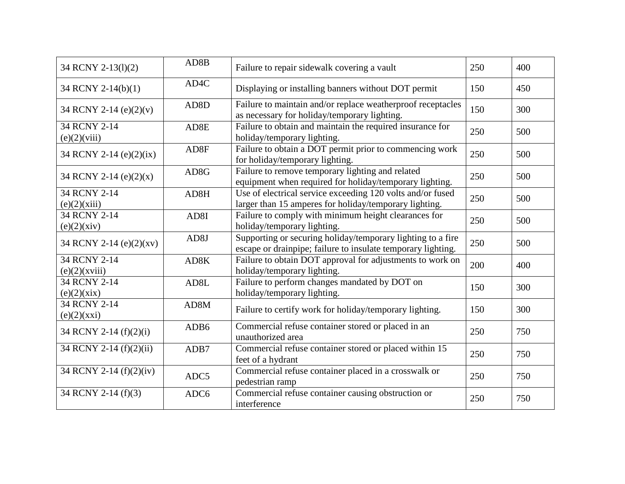| 34 RCNY 2-13(1)(2)            | AD8B              | Failure to repair sidewalk covering a vault                                                                                 | 250 | 400 |
|-------------------------------|-------------------|-----------------------------------------------------------------------------------------------------------------------------|-----|-----|
| 34 RCNY 2-14(b)(1)            | AD4C              | Displaying or installing banners without DOT permit                                                                         | 150 | 450 |
| 34 RCNY 2-14 (e)(2)(v)        | AD <sub>8</sub> D | Failure to maintain and/or replace weatherproof receptacles<br>as necessary for holiday/temporary lighting.                 | 150 | 300 |
| 34 RCNY 2-14<br>(e)(2)(viii)  | AD <sub>8</sub> E | Failure to obtain and maintain the required insurance for<br>holiday/temporary lighting.                                    | 250 | 500 |
| 34 RCNY 2-14 (e)(2)(ix)       | AD8F              | Failure to obtain a DOT permit prior to commencing work<br>for holiday/temporary lighting.                                  | 250 | 500 |
| 34 RCNY 2-14 (e) $(2)(x)$     | AD <sub>8</sub> G | Failure to remove temporary lighting and related<br>equipment when required for holiday/temporary lighting.                 | 250 | 500 |
| 34 RCNY 2-14<br>(e)(2)(xiii)  | AD8H              | Use of electrical service exceeding 120 volts and/or fused<br>larger than 15 amperes for holiday/temporary lighting.        | 250 | 500 |
| 34 RCNY 2-14<br>(e)(2)(xiv)   | AD8I              | Failure to comply with minimum height clearances for<br>holiday/temporary lighting.                                         | 250 | 500 |
| 34 RCNY 2-14 (e)(2)(xv)       | AD <sub>8</sub> J | Supporting or securing holiday/temporary lighting to a fire<br>escape or drainpipe; failure to insulate temporary lighting. | 250 | 500 |
| 34 RCNY 2-14<br>(e)(2)(xviii) | AD8K              | Failure to obtain DOT approval for adjustments to work on<br>holiday/temporary lighting.                                    | 200 | 400 |
| 34 RCNY 2-14<br>(e)(2)(xix)   | AD <sub>8</sub> L | Failure to perform changes mandated by DOT on<br>holiday/temporary lighting.                                                | 150 | 300 |
| 34 RCNY 2-14<br>(e)(2)(xxi)   | AD8M              | Failure to certify work for holiday/temporary lighting.                                                                     | 150 | 300 |
| 34 RCNY 2-14 (f)(2)(i)        | ADB <sub>6</sub>  | Commercial refuse container stored or placed in an<br>unauthorized area                                                     | 250 | 750 |
| 34 RCNY 2-14 (f)(2)(ii)       | ADB7              | Commercial refuse container stored or placed within 15<br>feet of a hydrant                                                 | 250 | 750 |
| 34 RCNY 2-14 (f)(2)(iv)       | ADC5              | Commercial refuse container placed in a crosswalk or<br>pedestrian ramp                                                     | 250 | 750 |
| 34 RCNY 2-14 (f)(3)           | ADC6              | Commercial refuse container causing obstruction or<br>interference                                                          | 250 | 750 |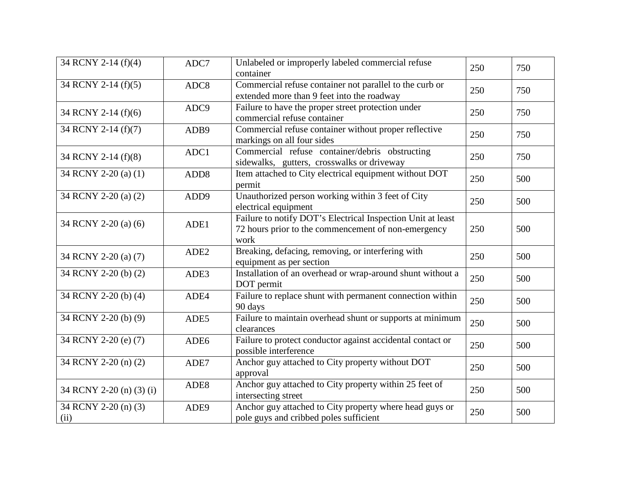| 34 RCNY 2-14 (f)(4)          | ADC7             | Unlabeled or improperly labeled commercial refuse<br>container                                                             | 250 | 750 |
|------------------------------|------------------|----------------------------------------------------------------------------------------------------------------------------|-----|-----|
| 34 RCNY 2-14 (f)(5)          | ADC8             | Commercial refuse container not parallel to the curb or<br>extended more than 9 feet into the roadway                      | 250 | 750 |
| 34 RCNY 2-14 (f)(6)          | ADC <sub>9</sub> | Failure to have the proper street protection under<br>commercial refuse container                                          | 250 | 750 |
| 34 RCNY 2-14 (f)(7)          | ADB9             | Commercial refuse container without proper reflective<br>markings on all four sides                                        | 250 | 750 |
| 34 RCNY 2-14 (f)(8)          | ADC1             | Commercial refuse container/debris obstructing<br>sidewalks, gutters, crosswalks or driveway                               | 250 | 750 |
| 34 RCNY 2-20 (a) (1)         | ADD <sub>8</sub> | Item attached to City electrical equipment without DOT<br>permit                                                           | 250 | 500 |
| 34 RCNY 2-20 (a) (2)         | ADD9             | Unauthorized person working within 3 feet of City<br>electrical equipment                                                  | 250 | 500 |
| 34 RCNY 2-20 (a) (6)         | ADE1             | Failure to notify DOT's Electrical Inspection Unit at least<br>72 hours prior to the commencement of non-emergency<br>work | 250 | 500 |
| 34 RCNY 2-20 (a) (7)         | ADE2             | Breaking, defacing, removing, or interfering with<br>equipment as per section                                              | 250 | 500 |
| 34 RCNY 2-20 (b) (2)         | ADE3             | Installation of an overhead or wrap-around shunt without a<br>DOT permit                                                   | 250 | 500 |
| 34 RCNY 2-20 (b) (4)         | ADE4             | Failure to replace shunt with permanent connection within<br>90 days                                                       | 250 | 500 |
| 34 RCNY 2-20 (b) (9)         | ADE5             | Failure to maintain overhead shunt or supports at minimum<br>clearances                                                    | 250 | 500 |
| 34 RCNY 2-20 (e) (7)         | ADE <sub>6</sub> | Failure to protect conductor against accidental contact or<br>possible interference                                        | 250 | 500 |
| 34 RCNY 2-20 (n) (2)         | ADE7             | Anchor guy attached to City property without DOT<br>approval                                                               | 250 | 500 |
| 34 RCNY 2-20 (n) (3) (i)     | ADE8             | Anchor guy attached to City property within 25 feet of<br>intersecting street                                              | 250 | 500 |
| 34 RCNY 2-20 (n) (3)<br>(ii) | ADE9             | Anchor guy attached to City property where head guys or<br>pole guys and cribbed poles sufficient                          | 250 | 500 |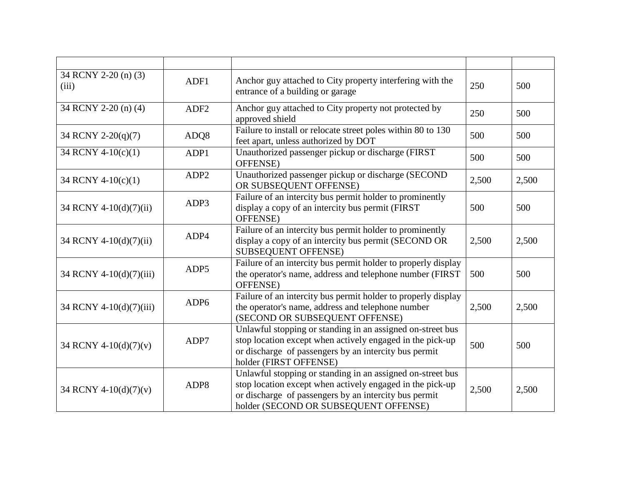| 34 RCNY 2-20 (n) (3)<br>(iii) | ADF1             | Anchor guy attached to City property interfering with the<br>entrance of a building or garage                                                                                                                             | 250   | 500   |
|-------------------------------|------------------|---------------------------------------------------------------------------------------------------------------------------------------------------------------------------------------------------------------------------|-------|-------|
| 34 RCNY 2-20 (n) (4)          | ADF <sub>2</sub> | Anchor guy attached to City property not protected by<br>approved shield                                                                                                                                                  | 250   | 500   |
| 34 RCNY 2-20(q)(7)            | ADQ8             | Failure to install or relocate street poles within 80 to 130<br>feet apart, unless authorized by DOT                                                                                                                      | 500   | 500   |
| 34 RCNY 4-10(c)(1)            | ADP1             | Unauthorized passenger pickup or discharge (FIRST)<br>OFFENSE)                                                                                                                                                            | 500   | 500   |
| 34 RCNY 4-10(c)(1)            | ADP <sub>2</sub> | Unauthorized passenger pickup or discharge (SECOND<br>OR SUBSEQUENT OFFENSE)                                                                                                                                              | 2,500 | 2,500 |
| 34 RCNY 4-10(d)(7)(ii)        | ADP3             | Failure of an intercity bus permit holder to prominently<br>display a copy of an intercity bus permit (FIRST<br>OFFENSE)                                                                                                  | 500   | 500   |
| 34 RCNY 4-10(d)(7)(ii)        | ADP4             | Failure of an intercity bus permit holder to prominently<br>display a copy of an intercity bus permit (SECOND OR<br><b>SUBSEQUENT OFFENSE)</b>                                                                            | 2,500 | 2,500 |
| 34 RCNY 4-10(d)(7)(iii)       | ADP <sub>5</sub> | Failure of an intercity bus permit holder to properly display<br>the operator's name, address and telephone number (FIRST<br>OFFENSE)                                                                                     | 500   | 500   |
| 34 RCNY 4-10(d)(7)(iii)       | ADP <sub>6</sub> | Failure of an intercity bus permit holder to properly display<br>the operator's name, address and telephone number<br>(SECOND OR SUBSEQUENT OFFENSE)                                                                      | 2,500 | 2,500 |
| 34 RCNY 4-10(d)(7)(v)         | ADP7             | Unlawful stopping or standing in an assigned on-street bus<br>stop location except when actively engaged in the pick-up<br>or discharge of passengers by an intercity bus permit<br>holder (FIRST OFFENSE)                | 500   | 500   |
| 34 RCNY 4-10(d)(7)(v)         | ADP8             | Unlawful stopping or standing in an assigned on-street bus<br>stop location except when actively engaged in the pick-up<br>or discharge of passengers by an intercity bus permit<br>holder (SECOND OR SUBSEQUENT OFFENSE) | 2,500 | 2,500 |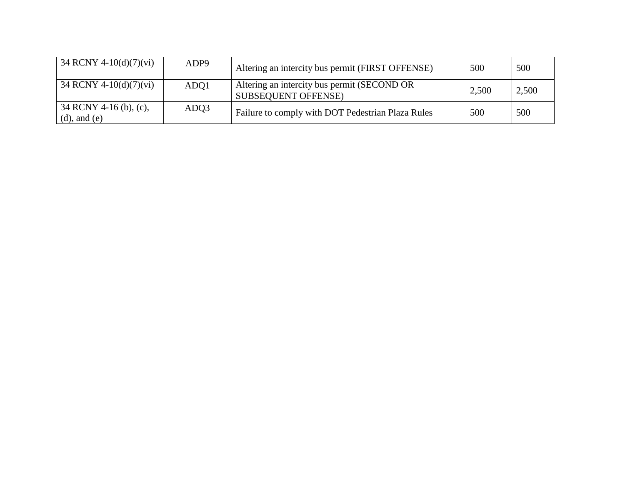| 34 RCNY 4-10(d)(7)(vi)                        | ADP9 | Altering an intercity bus permit (FIRST OFFENSE)                          | 500   | 500   |
|-----------------------------------------------|------|---------------------------------------------------------------------------|-------|-------|
| $34$ RCNY 4-10(d)(7)(vi)                      | ADO1 | Altering an intercity bus permit (SECOND OR<br><b>SUBSEQUENT OFFENSE)</b> | 2,500 | 2,500 |
| $34$ RCNY 4-16 (b), (c),<br>$(d)$ , and $(e)$ | ADQ3 | Failure to comply with DOT Pedestrian Plaza Rules                         | 500   | 500   |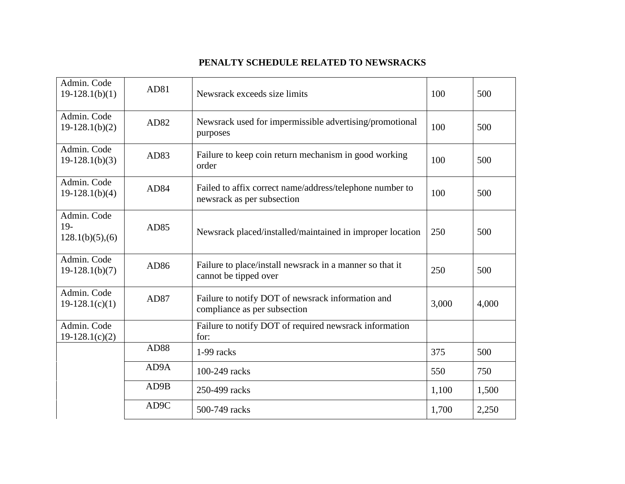## **PENALTY SCHEDULE RELATED TO NEWSRACKS**

| Admin. Code<br>$19-128.1(b)(1)$         | AD81 | Newsrack exceeds size limits                                                           | 100   | 500   |
|-----------------------------------------|------|----------------------------------------------------------------------------------------|-------|-------|
| Admin. Code<br>$19-128.1(b)(2)$         | AD82 | Newsrack used for impermissible advertising/promotional<br>purposes                    | 100   | 500   |
| Admin. Code<br>$19-128.1(b)(3)$         | AD83 | Failure to keep coin return mechanism in good working<br>order                         | 100   | 500   |
| Admin. Code<br>$19-128.1(b)(4)$         | AD84 | Failed to affix correct name/address/telephone number to<br>newsrack as per subsection | 100   | 500   |
| Admin. Code<br>$19-$<br>128.1(b)(5),(6) | AD85 | Newsrack placed/installed/maintained in improper location                              | 250   | 500   |
| Admin. Code<br>$19-128.1(b)(7)$         | AD86 | Failure to place/install newsrack in a manner so that it<br>cannot be tipped over      | 250   | 500   |
| Admin. Code<br>$19-128.1(c)(1)$         | AD87 | Failure to notify DOT of newsrack information and<br>compliance as per subsection      | 3,000 | 4,000 |
| Admin. Code<br>$19-128.1(c)(2)$         |      | Failure to notify DOT of required newsrack information<br>for:                         |       |       |
|                                         | AD88 | 1-99 racks                                                                             | 375   | 500   |
|                                         | AD9A | 100-249 racks                                                                          | 550   | 750   |
|                                         | AD9B | 250-499 racks                                                                          | 1,100 | 1,500 |
|                                         | AD9C | 500-749 racks                                                                          | 1,700 | 2,250 |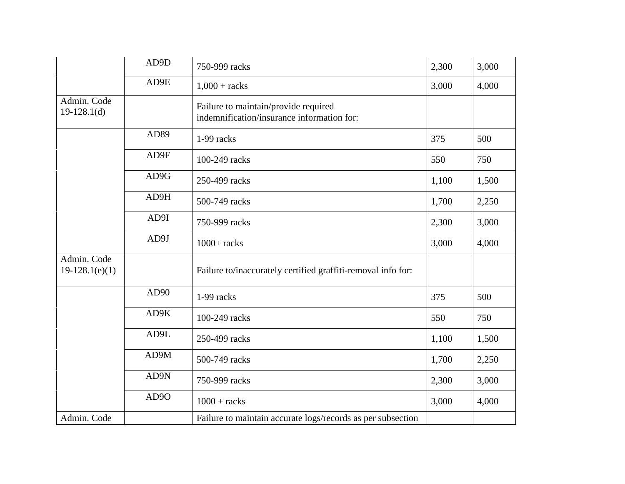|                                 | AD9D | 750-999 racks                                                                      | 2,300 | 3,000 |
|---------------------------------|------|------------------------------------------------------------------------------------|-------|-------|
|                                 | AD9E | $1,000 + \text{racks}$                                                             | 3,000 | 4,000 |
| Admin. Code<br>$19-128.1(d)$    |      | Failure to maintain/provide required<br>indemnification/insurance information for: |       |       |
|                                 | AD89 | 1-99 racks                                                                         | 375   | 500   |
|                                 | AD9F | 100-249 racks                                                                      | 550   | 750   |
|                                 | AD9G | 250-499 racks                                                                      | 1,100 | 1,500 |
|                                 | AD9H | 500-749 racks                                                                      | 1,700 | 2,250 |
|                                 | AD9I | 750-999 racks                                                                      | 2,300 | 3,000 |
|                                 | AD9J | $1000+$ racks                                                                      | 3,000 | 4,000 |
| Admin. Code<br>$19-128.1(e)(1)$ |      | Failure to/inaccurately certified graffiti-removal info for:                       |       |       |
|                                 | AD90 | 1-99 racks                                                                         | 375   | 500   |
|                                 | AD9K | 100-249 racks                                                                      | 550   | 750   |
|                                 | AD9L | 250-499 racks                                                                      | 1,100 | 1,500 |
|                                 | AD9M | 500-749 racks                                                                      | 1,700 | 2,250 |
|                                 | AD9N | 750-999 racks                                                                      | 2,300 | 3,000 |
|                                 | AD9O | $1000 + \text{racks}$                                                              | 3,000 | 4,000 |
| Admin. Code                     |      | Failure to maintain accurate logs/records as per subsection                        |       |       |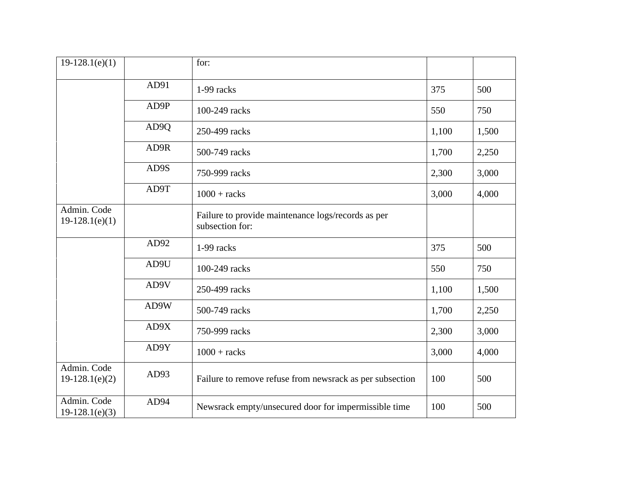| $19-128.1(e)(1)$                |      | for:                                                                  |       |       |
|---------------------------------|------|-----------------------------------------------------------------------|-------|-------|
|                                 | AD91 | 1-99 racks                                                            | 375   | 500   |
|                                 | AD9P | 100-249 racks                                                         | 550   | 750   |
|                                 | AD9Q | 250-499 racks                                                         | 1,100 | 1,500 |
|                                 | AD9R | 500-749 racks                                                         | 1,700 | 2,250 |
|                                 | AD9S | 750-999 racks                                                         | 2,300 | 3,000 |
|                                 | AD9T | $1000 + \text{racks}$                                                 | 3,000 | 4,000 |
| Admin. Code<br>$19-128.1(e)(1)$ |      | Failure to provide maintenance logs/records as per<br>subsection for: |       |       |
|                                 | AD92 | 1-99 racks                                                            | 375   | 500   |
|                                 | AD9U | 100-249 racks                                                         | 550   | 750   |
|                                 | AD9V | 250-499 racks                                                         | 1,100 | 1,500 |
|                                 | AD9W | 500-749 racks                                                         | 1,700 | 2,250 |
|                                 | AD9X | 750-999 racks                                                         | 2,300 | 3,000 |
|                                 | AD9Y | $1000 + \text{racks}$                                                 | 3,000 | 4,000 |
| Admin. Code<br>$19-128.1(e)(2)$ | AD93 | Failure to remove refuse from newsrack as per subsection              | 100   | 500   |
| Admin. Code<br>$19-128.1(e)(3)$ | AD94 | Newsrack empty/unsecured door for impermissible time                  | 100   | 500   |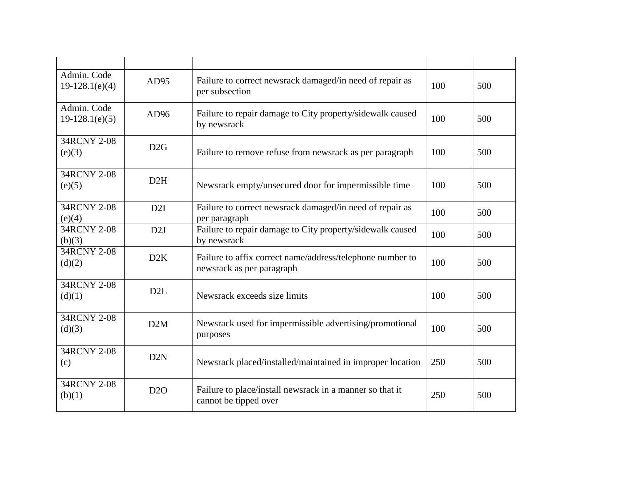| Admin. Code<br>$19-128.1(e)(4)$ | AD95             | Failure to correct newsrack damaged/in need of repair as<br>per subsection             | 100 | 500 |
|---------------------------------|------------------|----------------------------------------------------------------------------------------|-----|-----|
| Admin. Code<br>$19-128.1(e)(5)$ | AD96             | Failure to repair damage to City property/sidewalk caused<br>by newsrack               | 100 | 500 |
| 34RCNY 2-08<br>(e)(3)           | D2G              | Failure to remove refuse from newsrack as per paragraph                                | 100 | 500 |
| 34RCNY 2-08<br>(e)(5)           | D2H              | Newsrack empty/unsecured door for impermissible time                                   | 100 | 500 |
| 34RCNY 2-08<br>(e)(4)           | D2I              | Failure to correct newsrack damaged/in need of repair as<br>per paragraph              | 100 | 500 |
| 34RCNY 2-08<br>(b)(3)           | D2J              | Failure to repair damage to City property/sidewalk caused<br>by newsrack               | 100 | 500 |
| 34RCNY 2-08<br>(d)(2)           | D2K              | Failure to affix correct name/address/telephone number to<br>newsrack as per paragraph | 100 | 500 |
| 34RCNY 2-08<br>(d)(1)           | D <sub>2</sub> L | Newsrack exceeds size limits                                                           | 100 | 500 |
| 34RCNY 2-08<br>(d)(3)           | D2M              | Newsrack used for impermissible advertising/promotional<br>purposes                    | 100 | 500 |
| 34RCNY 2-08<br>(c)              | D <sub>2</sub> N | Newsrack placed/installed/maintained in improper location                              | 250 | 500 |
| 34RCNY 2-08<br>(b)(1)           | D2O              | Failure to place/install newsrack in a manner so that it<br>cannot be tipped over      | 250 | 500 |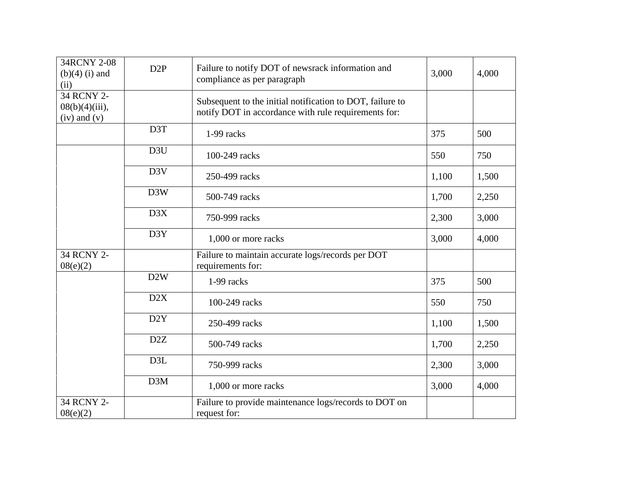| 34RCNY 2-08<br>$(b)(4)$ (i) and<br>(ii)             | D2P              | Failure to notify DOT of newsrack information and<br>compliance as per paragraph                                  | 3,000 | 4,000 |
|-----------------------------------------------------|------------------|-------------------------------------------------------------------------------------------------------------------|-------|-------|
| 34 RCNY 2-<br>$08(b)(4)(iii)$ ,<br>$(iv)$ and $(v)$ |                  | Subsequent to the initial notification to DOT, failure to<br>notify DOT in accordance with rule requirements for: |       |       |
|                                                     | D3T              | 1-99 racks                                                                                                        | 375   | 500   |
|                                                     | D <sub>3</sub> U | 100-249 racks                                                                                                     | 550   | 750   |
|                                                     | D <sub>3</sub> V | 250-499 racks                                                                                                     | 1,100 | 1,500 |
|                                                     | D3W              | 500-749 racks                                                                                                     | 1,700 | 2,250 |
|                                                     | D3X              | 750-999 racks                                                                                                     | 2,300 | 3,000 |
|                                                     | D3Y              | 1,000 or more racks                                                                                               | 3,000 | 4,000 |
| 34 RCNY 2-<br>08(e)(2)                              |                  | Failure to maintain accurate logs/records per DOT<br>requirements for:                                            |       |       |
|                                                     | D2W              | 1-99 racks                                                                                                        | 375   | 500   |
|                                                     | D2X              | 100-249 racks                                                                                                     | 550   | 750   |
|                                                     | D <sub>2</sub> Y | 250-499 racks                                                                                                     | 1,100 | 1,500 |
|                                                     | D <sub>2</sub> Z | 500-749 racks                                                                                                     | 1,700 | 2,250 |
|                                                     | D <sub>3</sub> L | 750-999 racks                                                                                                     | 2,300 | 3,000 |
|                                                     | D3M              | 1,000 or more racks                                                                                               | 3,000 | 4,000 |
| 34 RCNY 2-<br>08(e)(2)                              |                  | Failure to provide maintenance logs/records to DOT on<br>request for:                                             |       |       |